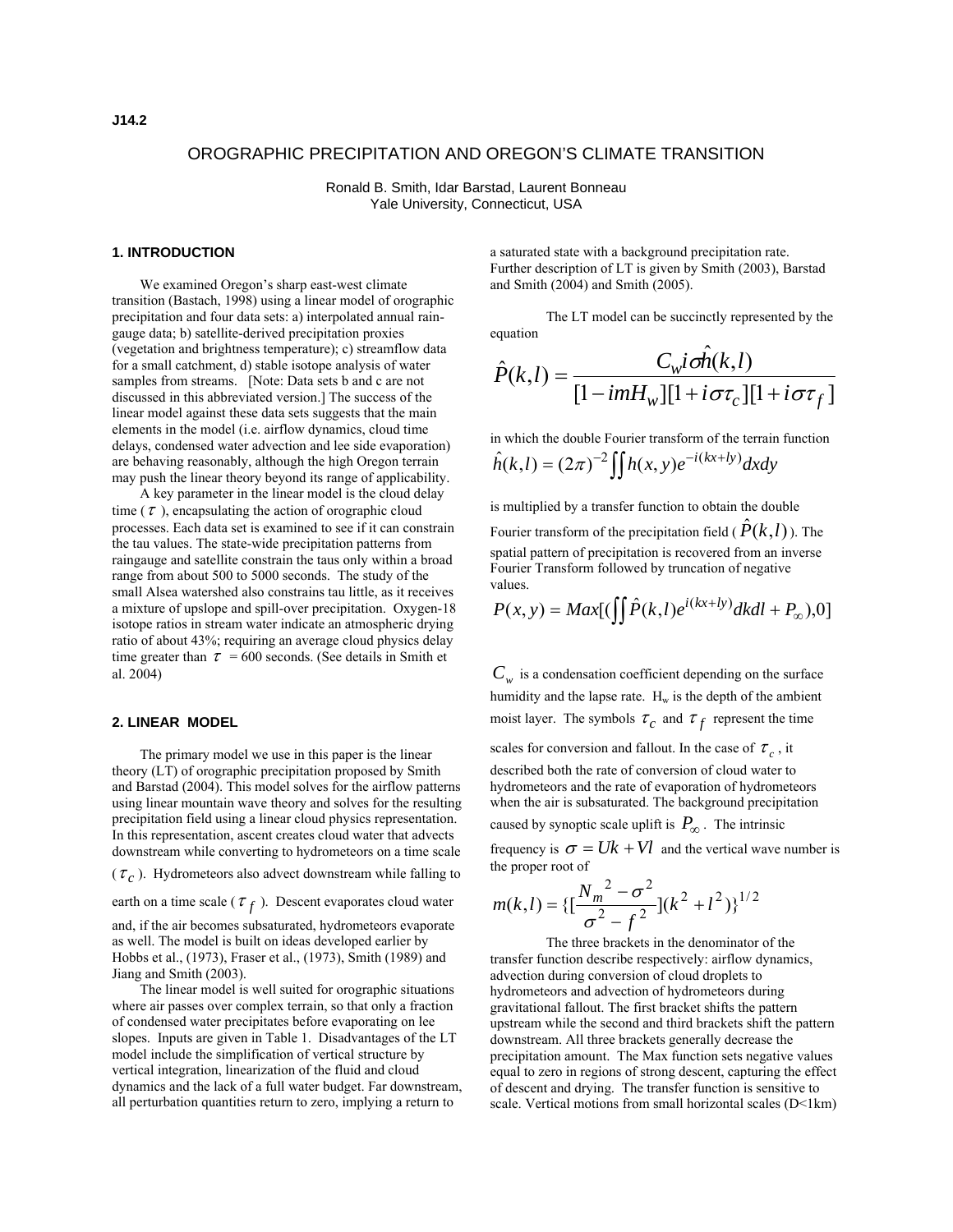## OROGRAPHIC PRECIPITATION AND OREGON'S CLIMATE TRANSITION

Ronald B. Smith, Idar Barstad, Laurent Bonneau Yale University, Connecticut, USA

#### **1. INTRODUCTION**

We examined Oregon's sharp east-west climate transition (Bastach, 1998) using a linear model of orographic precipitation and four data sets: a) interpolated annual raingauge data; b) satellite-derived precipitation proxies (vegetation and brightness temperature); c) streamflow data for a small catchment, d) stable isotope analysis of water samples from streams. [Note: Data sets b and c are not discussed in this abbreviated version.] The success of the linear model against these data sets suggests that the main elements in the model (i.e. airflow dynamics, cloud time delays, condensed water advection and lee side evaporation) are behaving reasonably, although the high Oregon terrain may push the linear theory beyond its range of applicability.

A key parameter in the linear model is the cloud delay time ( $\tau$ ), encapsulating the action of orographic cloud processes. Each data set is examined to see if it can constrain the tau values. The state-wide precipitation patterns from raingauge and satellite constrain the taus only within a broad range from about 500 to 5000 seconds. The study of the small Alsea watershed also constrains tau little, as it receives a mixture of upslope and spill-over precipitation. Oxygen-18 isotope ratios in stream water indicate an atmospheric drying ratio of about 43%; requiring an average cloud physics delay time greater than  $\tau = 600$  seconds. (See details in Smith et al. 2004)

#### **2. LINEAR MODEL**

The primary model we use in this paper is the linear theory (LT) of orographic precipitation proposed by Smith and Barstad (2004). This model solves for the airflow patterns using linear mountain wave theory and solves for the resulting precipitation field using a linear cloud physics representation. In this representation, ascent creates cloud water that advects downstream while converting to hydrometeors on a time scale

 $(\tau_c)$ . Hydrometeors also advect downstream while falling to

earth on a time scale ( $\tau_f$ ). Descent evaporates cloud water

and, if the air becomes subsaturated, hydrometeors evaporate as well. The model is built on ideas developed earlier by Hobbs et al., (1973), Fraser et al., (1973), Smith (1989) and Jiang and Smith (2003).

The linear model is well suited for orographic situations where air passes over complex terrain, so that only a fraction of condensed water precipitates before evaporating on lee slopes. Inputs are given in Table 1. Disadvantages of the LT model include the simplification of vertical structure by vertical integration, linearization of the fluid and cloud dynamics and the lack of a full water budget. Far downstream, all perturbation quantities return to zero, implying a return to

a saturated state with a background precipitation rate. Further description of LT is given by Smith (2003), Barstad and Smith (2004) and Smith (2005).

The LT model can be succinctly represented by the equation

$$
\hat{P}(k,l) = \frac{C_w i \hat{\sigma} \hat{h}(k,l)}{[1 - imH_w][1 + i \sigma \tau_c][1 + i \sigma \tau_f]}
$$

in which the double Fourier transform of the terrain function  $\hat{h}(k, l) = (2\pi)^{-2} \iint h(x, y) e^{-i(kx+ly)} dx dy$ 

is multiplied by a transfer function to obtain the double

Fourier transform of the precipitation field ( $\hat{P}(k, l)$ ). The spatial pattern of precipitation is recovered from an inverse Fourier Transform followed by truncation of negative values.

$$
P(x, y) = Max[(\iint \hat{P}(k, l)e^{i(kx+ly)}dkdl + P_{\infty}), 0]
$$

 $C_w$  is a condensation coefficient depending on the surface humidity and the lapse rate.  $H_w$  is the depth of the ambient moist layer. The symbols  $\tau_c$  and  $\tau_f$  represent the time

scales for conversion and fallout. In the case of  $\tau_c$ , it described both the rate of conversion of cloud water to hydrometeors and the rate of evaporation of hydrometeors when the air is subsaturated. The background precipitation caused by synoptic scale uplift is  $P_{\infty}$ . The intrinsic

frequency is  $\sigma = Uk + Vl$  and the vertical wave number is the proper root of

$$
m(k,l) = {\{\left[\frac{N_m^2 - \sigma^2}{\sigma^2 - f^2}\right]}(k^2 + l^2)\}^{1/2}
$$

The three brackets in the denominator of the transfer function describe respectively: airflow dynamics, advection during conversion of cloud droplets to hydrometeors and advection of hydrometeors during gravitational fallout. The first bracket shifts the pattern upstream while the second and third brackets shift the pattern downstream. All three brackets generally decrease the precipitation amount. The Max function sets negative values equal to zero in regions of strong descent, capturing the effect of descent and drying. The transfer function is sensitive to scale. Vertical motions from small horizontal scales (D<1km)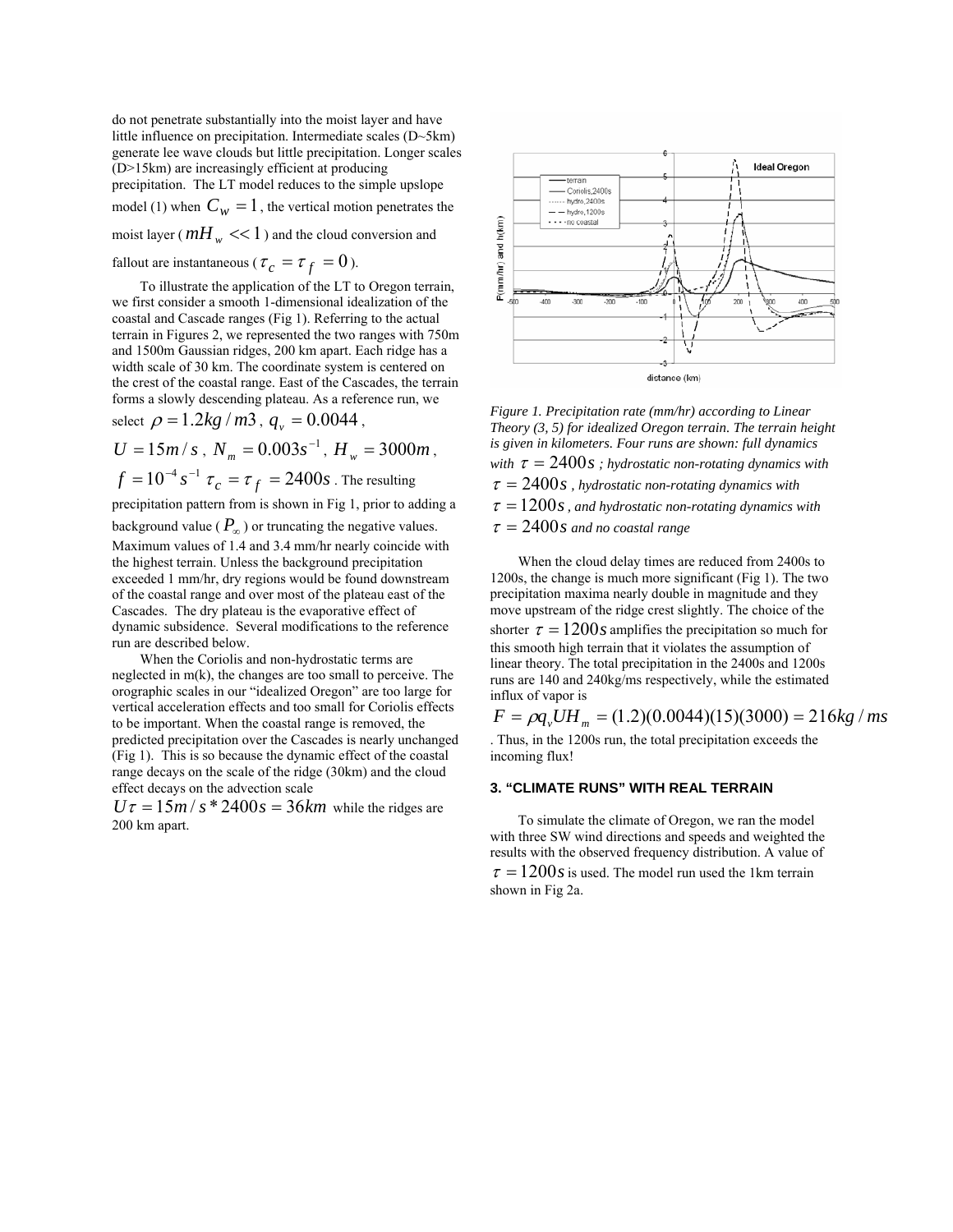do not penetrate substantially into the moist layer and have little influence on precipitation. Intermediate scales (D~5km) generate lee wave clouds but little precipitation. Longer scales (D>15km) are increasingly efficient at producing precipitation. The LT model reduces to the simple upslope model (1) when  $C_w = 1$ , the vertical motion penetrates the moist layer (  $mH_{w} << 1$  ) and the cloud conversion and

fallout are instantaneous ( $\tau_c = \tau_f = 0$ ).

To illustrate the application of the LT to Oregon terrain, we first consider a smooth 1-dimensional idealization of the coastal and Cascade ranges (Fig 1). Referring to the actual terrain in Figures 2, we represented the two ranges with 750m and 1500m Gaussian ridges, 200 km apart. Each ridge has a width scale of 30 km. The coordinate system is centered on the crest of the coastal range. East of the Cascades, the terrain forms a slowly descending plateau. As a reference run, we select  $\rho = 1.2kg/m3$ ,  $q_v = 0.0044$ ,

 $U = 15m/s$ ,  $N_m = 0.003s^{-1}$ ,  $H_w = 3000m$ ,

 $f = 10^{-4} s^{-1} \tau_c = \tau_f = 2400 s$ . The resulting

precipitation pattern from is shown in Fig 1, prior to adding a

background value ( $P_{\infty}$ ) or truncating the negative values. Maximum values of 1.4 and 3.4 mm/hr nearly coincide with the highest terrain. Unless the background precipitation exceeded 1 mm/hr, dry regions would be found downstream of the coastal range and over most of the plateau east of the Cascades. The dry plateau is the evaporative effect of dynamic subsidence. Several modifications to the reference run are described below.

When the Coriolis and non-hydrostatic terms are neglected in m(k), the changes are too small to perceive. The orographic scales in our "idealized Oregon" are too large for vertical acceleration effects and too small for Coriolis effects to be important. When the coastal range is removed, the predicted precipitation over the Cascades is nearly unchanged (Fig 1). This is so because the dynamic effect of the coastal range decays on the scale of the ridge (30km) and the cloud effect decays on the advection scale

 $U\tau = 15m/s * 2400s = 36km$  while the ridges are 200 km apart.



*Figure 1. Precipitation rate (mm/hr) according to Linear Theory (3, 5) for idealized Oregon terrain. The terrain height is given in kilometers. Four runs are shown: full dynamics* 

*with*  $\tau = 2400s$ ; *hydrostatic non-rotating dynamics with* 

 $\tau = 2400s$ , hydrostatic non-rotating dynamics with

<sup>τ</sup> = 1200*s, and hydrostatic non-rotating dynamics with*

<sup>τ</sup> = 2400*s and no coastal range* 

When the cloud delay times are reduced from 2400s to 1200s, the change is much more significant (Fig 1). The two precipitation maxima nearly double in magnitude and they move upstream of the ridge crest slightly. The choice of the shorter  $\tau = 1200s$  amplifies the precipitation so much for this smooth high terrain that it violates the assumption of linear theory. The total precipitation in the 2400s and 1200s runs are 140 and 240kg/ms respectively, while the estimated influx of vapor is

 $F = \rho q_v U H_m = (1.2)(0.0044)(15)(3000) = 216 kg / ms$ . Thus, in the 1200s run, the total precipitation exceeds the incoming flux!

### **3. "CLIMATE RUNS" WITH REAL TERRAIN**

To simulate the climate of Oregon, we ran the model with three SW wind directions and speeds and weighted the results with the observed frequency distribution. A value of  $\tau = 1200s$  is used. The model run used the 1km terrain shown in Fig 2a.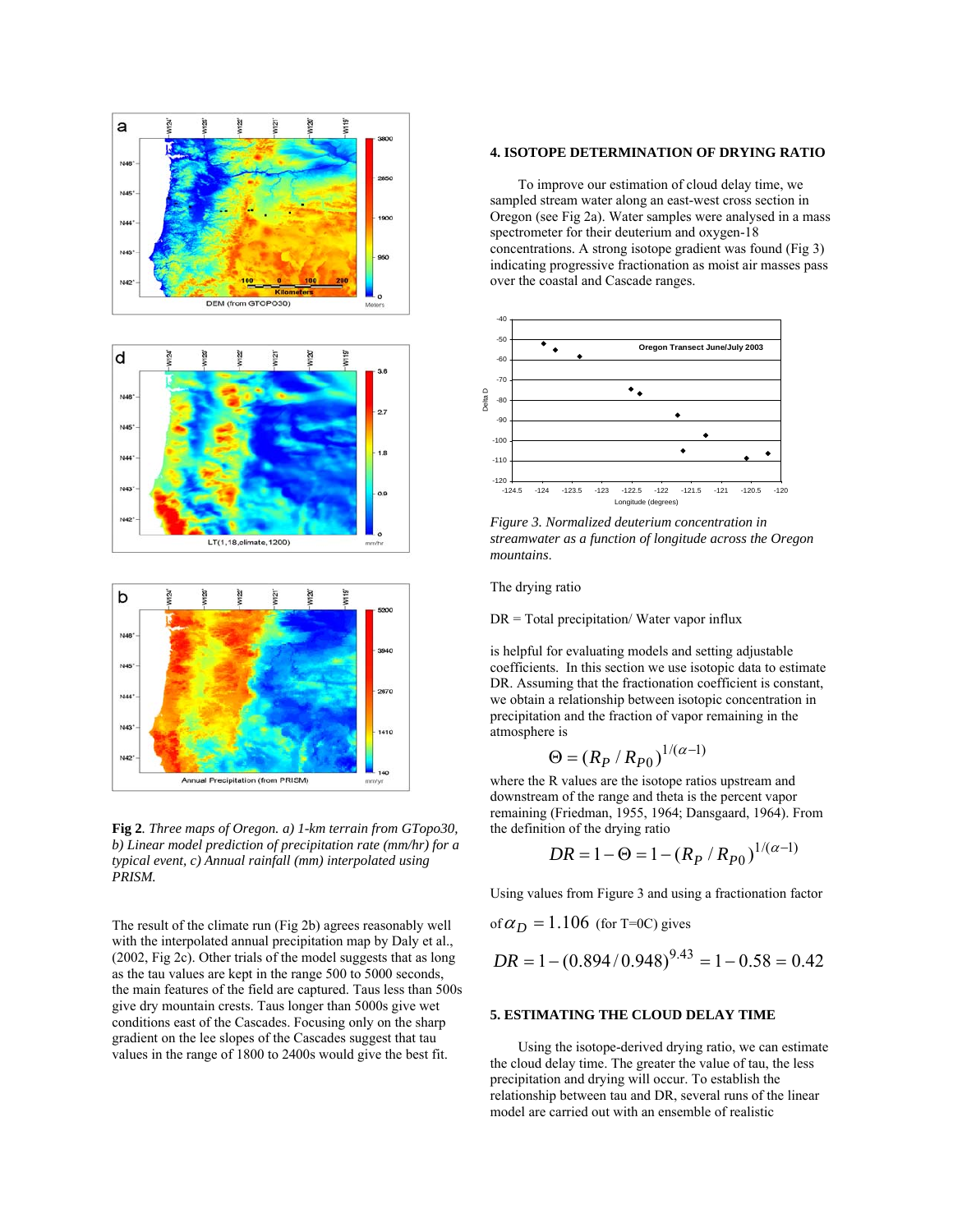





**Fig 2***. Three maps of Oregon. a) 1-km terrain from GTopo30, b) Linear model prediction of precipitation rate (mm/hr) for a typical event, c) Annual rainfall (mm) interpolated using PRISM.* 

The result of the climate run (Fig 2b) agrees reasonably well with the interpolated annual precipitation map by Daly et al., (2002, Fig 2c). Other trials of the model suggests that as long as the tau values are kept in the range 500 to 5000 seconds, the main features of the field are captured. Taus less than 500s give dry mountain crests. Taus longer than 5000s give wet conditions east of the Cascades. Focusing only on the sharp gradient on the lee slopes of the Cascades suggest that tau values in the range of 1800 to 2400s would give the best fit.

## **4. ISOTOPE DETERMINATION OF DRYING RATIO**

To improve our estimation of cloud delay time, we sampled stream water along an east-west cross section in Oregon (see Fig 2a). Water samples were analysed in a mass spectrometer for their deuterium and oxygen-18 concentrations. A strong isotope gradient was found (Fig 3) indicating progressive fractionation as moist air masses pass over the coastal and Cascade ranges.



*Figure 3. Normalized deuterium concentration in streamwater as a function of longitude across the Oregon mountains*.

The drying ratio

 $DR = Total \, precipitation / Water \, vapor \, influx$ 

is helpful for evaluating models and setting adjustable coefficients. In this section we use isotopic data to estimate DR. Assuming that the fractionation coefficient is constant, we obtain a relationship between isotopic concentration in precipitation and the fraction of vapor remaining in the atmosphere is

$$
\Theta = (R_P/R_{P0})^{1/(\alpha-1)}
$$

where the R values are the isotope ratios upstream and downstream of the range and theta is the percent vapor remaining (Friedman, 1955, 1964; Dansgaard, 1964). From the definition of the drying ratio

$$
DR = 1 - \Theta = 1 - (R_P / R_{P0})^{1/(\alpha - 1)}
$$

Using values from Figure 3 and using a fractionation factor

of  $\alpha_D = 1.106$  (for T=0C) gives

$$
DR = 1 - (0.894/0.948)^{9.43} = 1 - 0.58 = 0.42
$$

### **5. ESTIMATING THE CLOUD DELAY TIME**

Using the isotope-derived drying ratio, we can estimate the cloud delay time. The greater the value of tau, the less precipitation and drying will occur. To establish the relationship between tau and DR, several runs of the linear model are carried out with an ensemble of realistic